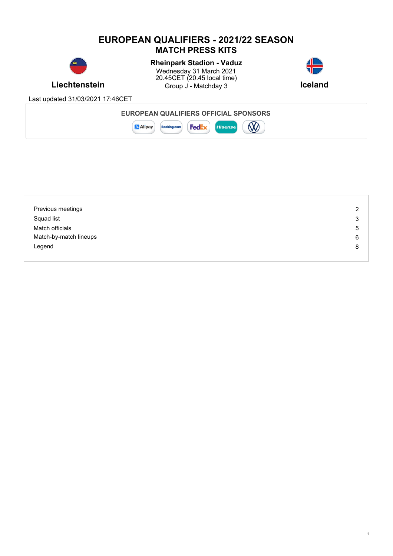# **EUROPEAN QUALIFIERS - 2021/22 SEASON MATCH PRESS KITS**



# **Rheinpark Stadion - Vaduz**

**Liechtenstein** Group J - Matchday 3 **Iceland** Wednesday 31 March 2021 20.45CET (20.45 local time)



1

Last updated 31/03/2021 17:46CET

| Previous meetings      | 2 |
|------------------------|---|
| Squad list             | 3 |
| Match officials        | 5 |
| Match-by-match lineups | 6 |
| Legend                 | 8 |
|                        |   |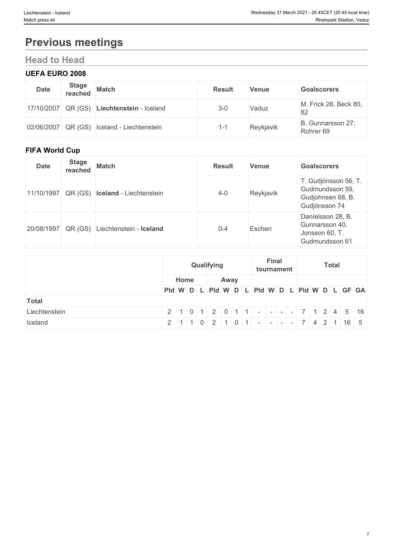# **Previous meetings**

# **Head to Head**

### **UEFA EURO 2008**

| <b>Date</b> | <b>Stage</b> | reached Match                              | <b>Result</b> | <b>Venue</b> | <b>Goalscorers</b>             |
|-------------|--------------|--------------------------------------------|---------------|--------------|--------------------------------|
|             |              | 17/10/2007 QR (GS) Liechtenstein - Iceland | $3 - 0$       | Vaduz        | M. Frick 28, Beck 80,<br>82    |
|             |              | 02/06/2007 QR (GS) Iceland - Liechtenstein |               | Reykjavik    | B. Gunnarsson 27;<br>Rohrer 69 |

# **FIFA World Cup**

| <b>Date</b> | <b>Stage</b><br>reached | <b>Match</b>                           | <b>Result</b> | <b>Venue</b> | <b>Goalscorers</b>                                                            |
|-------------|-------------------------|----------------------------------------|---------------|--------------|-------------------------------------------------------------------------------|
| 11/10/1997  |                         | QR (GS) <b>Iceland</b> - Liechtenstein | $4 - 0$       | Reykjavik    | T. Gudjónsson 56, T.<br>Gudmundsson 59,<br>Gudjohnsen 68, B.<br>Gudjónsson 74 |
| 20/08/1997  | QR (GS)                 | Liechtenstein - Iceland                | $0 - 4$       | Eschen       | Daníelsson 28, B.<br>Gunnarsson 40,<br>Jonsson 60, T.<br>Gudmundsson 61       |

|               | Qualifying |      | <b>Final</b><br><b>Total</b><br>tournament |                                                                        |  |
|---------------|------------|------|--------------------------------------------|------------------------------------------------------------------------|--|
|               | Home       | Away |                                            |                                                                        |  |
|               |            |      |                                            | Pid W D L Pid W D L Pid W D L Pid W D L GF GA                          |  |
| <b>Total</b>  |            |      |                                            |                                                                        |  |
| Liechtenstein |            |      |                                            | $2   1   0   1   2   0   1   1 -   -   -   -   7   1   2   4   5   16$ |  |
| Iceland       |            |      |                                            | $2   1   1   0   2   1   0   1   -  -  - 7   4   2   1   16   5$       |  |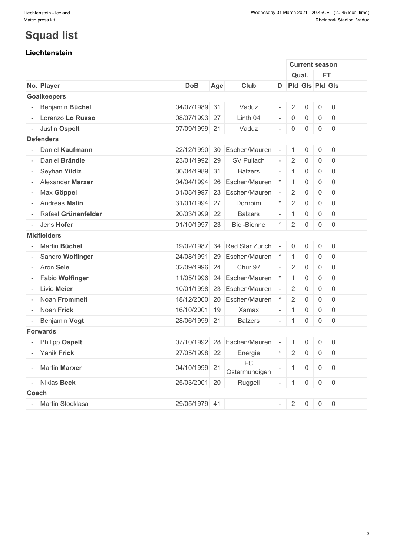# **Squad list**

# **Liechtenstein**

|              |                        |               |     |                             |                          |                     | <b>Current season</b> |                     |                |  |
|--------------|------------------------|---------------|-----|-----------------------------|--------------------------|---------------------|-----------------------|---------------------|----------------|--|
|              |                        |               |     |                             |                          |                     | Qual.                 |                     | <b>FT</b>      |  |
|              | No. Player             | <b>DoB</b>    | Age | Club                        |                          |                     | D Pld Gls Pld Gls     |                     |                |  |
|              | <b>Goalkeepers</b>     |               |     |                             |                          |                     |                       |                     |                |  |
|              | Benjamin Büchel        | 04/07/1989 31 |     | Vaduz                       | $\overline{\phantom{a}}$ | $\overline{2}$      | $\mathbf 0$           | $\overline{0}$      | $\overline{0}$ |  |
|              | Lorenzo Lo Russo       | 08/07/1993 27 |     | Linth 04                    | $\overline{\phantom{a}}$ | $\mathbf 0$         | $\mathsf{O}\xspace$   | $\mathbf 0$         | $\overline{0}$ |  |
|              | - Justin Ospelt        | 07/09/1999 21 |     | Vaduz                       | $\overline{\phantom{a}}$ | $\mathbf 0$         | $\mathsf{O}\xspace$   | $\mathsf{O}\xspace$ | $\overline{0}$ |  |
|              | <b>Defenders</b>       |               |     |                             |                          |                     |                       |                     |                |  |
|              | Daniel Kaufmann        | 22/12/1990    | 30  | Eschen/Mauren               | $\sim$                   | $\mathbf{1}$        | 0                     | 0                   | $\overline{0}$ |  |
|              | Daniel Brändle         | 23/01/1992 29 |     | SV Pullach                  | $\omega$                 | $\overline{2}$      | $\mathsf{O}\xspace$   | $\mathsf{O}\xspace$ | $\overline{0}$ |  |
|              | Seyhan Yildiz          | 30/04/1989 31 |     | <b>Balzers</b>              | $\equiv$                 | $\mathbf{1}$        | $\mathsf{O}\xspace$   | $\overline{0}$      | $\overline{0}$ |  |
|              | Alexander Marxer       | 04/04/1994    | 26  | Eschen/Mauren               | $^{\star}$               | $\mathbf{1}$        | $\mathsf{O}\xspace$   | $\mathsf{O}\xspace$ | $\overline{0}$ |  |
|              | Max Göppel             | 31/08/1997 23 |     | Eschen/Mauren               | $\overline{\phantom{a}}$ | $\overline{2}$      | $\mathsf{O}\xspace$   | $\overline{0}$      | $\overline{0}$ |  |
|              | Andreas Malin          | 31/01/1994 27 |     | Dornbirn                    | $\star$                  | $\overline{2}$      | $\mathsf{O}\xspace$   | $\mathbf 0$         | $\mathbf 0$    |  |
|              | Rafael Grünenfelder    | 20/03/1999 22 |     | <b>Balzers</b>              | $\overline{\phantom{a}}$ | $\overline{1}$      | $\mathsf{O}\xspace$   | $\mathbf 0$         | $\overline{0}$ |  |
|              | Jens Hofer             | 01/10/1997 23 |     | <b>Biel-Bienne</b>          | $\star$                  | $\sqrt{2}$          | $\mathsf{O}\xspace$   | $\mathsf{O}\xspace$ | $\overline{0}$ |  |
|              | <b>Midfielders</b>     |               |     |                             |                          |                     |                       |                     |                |  |
|              | Martin Büchel          | 19/02/1987    | 34  | Red Star Zurich             | $\sim$                   | $\mathsf{O}\xspace$ | $\mathsf{O}\xspace$   | $\mathsf{O}\xspace$ | $\overline{0}$ |  |
|              | Sandro Wolfinger       |               |     | 24/08/1991 29 Eschen/Mauren | $^\star$                 | $\mathbf{1}$        | $\mathsf{O}\xspace$   | $\mathsf{O}\xspace$ | $\overline{0}$ |  |
|              | Aron Sele              | 02/09/1996 24 |     | Chur 97                     | $\mathcal{L}$            | 2                   | $\mathbf 0$           | $\overline{0}$      | $\overline{0}$ |  |
|              | <b>Fabio Wolfinger</b> | 11/05/1996    |     | 24 Eschen/Mauren            | $\star$                  | $\mathbf{1}$        | $\mathbf 0$           | $\mathbf 0$         | $\overline{0}$ |  |
|              | Livio Meier            |               |     | 10/01/1998 23 Eschen/Mauren | $\sim$                   | 2                   | $\mathbf 0$           | $\mathbf 0$         | $\overline{0}$ |  |
|              | Noah Frommelt          |               |     | 18/12/2000 20 Eschen/Mauren | $^{\star}$               | $\overline{2}$      | $\mathsf{O}\xspace$   | $\mathbf 0$         | $\overline{0}$ |  |
|              | Noah Frick             | 16/10/2001 19 |     | Xamax                       | $\overline{\phantom{a}}$ | $\overline{1}$      | $\mathsf{O}\xspace$   | $\mathbf 0$         | $\overline{0}$ |  |
|              | Benjamin Vogt          | 28/06/1999 21 |     | <b>Balzers</b>              | $\overline{\phantom{a}}$ | $\vert$ 1           | $\mathsf{O}\xspace$   | $\overline{0}$      | $\overline{0}$ |  |
|              | <b>Forwards</b>        |               |     |                             |                          |                     |                       |                     |                |  |
|              | <b>Philipp Ospelt</b>  |               |     | 07/10/1992 28 Eschen/Mauren | $\sim$                   | $\mathbf{1}$        | $\mathbf 0$           | $\mathsf{O}\xspace$ | $\mathsf{O}$   |  |
|              | Yanik Frick            | 27/05/1998 22 |     | Energie                     | $\star$                  | $\overline{2}$      | $\overline{0}$        | $\overline{0}$      | $\overline{0}$ |  |
|              | <b>Martin Marxer</b>   | 04/10/1999 21 |     | FC<br>Ostermundigen         |                          | $\mathbf{1}$        | 0                     | $\mathbf 0$         | $\overline{0}$ |  |
|              | - Niklas Beck          | 25/03/2001 20 |     | Ruggell                     | $\bar{a}$                | $\mathbf{1}$        | $\mathsf{O}\xspace$   | $\overline{0}$      | $\mathsf 0$    |  |
| <b>Coach</b> |                        |               |     |                             |                          |                     |                       |                     |                |  |
|              | - Martin Stocklasa     | 29/05/1979 41 |     |                             | $\omega$                 | 2                   | $\mathbf 0$           | $\mathbf 0$         | $\overline{0}$ |  |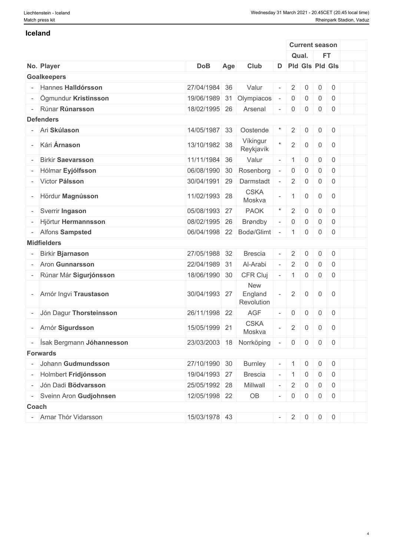#### **Iceland**

|                           |               |     |                                     |                          |                     | <b>Current season</b> |                     |                |  |
|---------------------------|---------------|-----|-------------------------------------|--------------------------|---------------------|-----------------------|---------------------|----------------|--|
|                           |               |     |                                     |                          |                     | Qual.                 |                     | FT.            |  |
| No. Player                | <b>DoB</b>    | Age | Club                                |                          |                     | D Pld Gls Pld Gls     |                     |                |  |
| <b>Goalkeepers</b>        |               |     |                                     |                          |                     |                       |                     |                |  |
| - Hannes Halldórsson      | 27/04/1984 36 |     | Valur                               |                          | $\sqrt{2}$          | $\mathbf 0$           | $\mathbf 0$         | $\mathsf 0$    |  |
| Ögmundur Kristinsson      | 19/06/1989    | 31  | Olympiacos                          |                          | $\mathsf{0}$        | $\mathbf 0$           | 0                   | $\overline{0}$ |  |
| Rúnar Rúnarsson           | 18/02/1995 26 |     | Arsenal                             |                          | $\mathsf{O}\xspace$ | $\overline{0}$        | $\mathsf{0}$        | $\overline{0}$ |  |
| <b>Defenders</b>          |               |     |                                     |                          |                     |                       |                     |                |  |
| - Ari Skúlason            | 14/05/1987 33 |     | Oostende                            |                          | $\overline{2}$      | $\mathsf{O}\xspace$   | $\overline{0}$      | $\overline{0}$ |  |
| - Kári Árnason            | 13/10/1982 38 |     | Víkingur<br>Reykjavík               | $\star$                  | $\overline{2}$      | $\mathsf{O}\xspace$   | $\mathsf{O}\xspace$ | $\overline{0}$ |  |
| <b>Birkir Saevarsson</b>  | 11/11/1984    | 36  | Valur                               | $\bar{\phantom{a}}$      | $\mathbf{1}$        | $\mathbf 0$           | $\mathbf 0$         | $\overline{0}$ |  |
| Hólmar Eyjólfsson         | 06/08/1990    | 30  | Rosenborg                           | $\sim$                   | $\boldsymbol{0}$    | $\mathsf{O}\xspace$   | $\mathsf 0$         | $\overline{0}$ |  |
| - Victor Pálsson          | 30/04/1991    | 29  | Darmstadt                           |                          | $\overline{2}$      | $\mathbf 0$           | 0                   | $\overline{0}$ |  |
| - Hördur Magnússon        | 11/02/1993 28 |     | <b>CSKA</b><br>Moskva               | $\overline{\phantom{a}}$ | $\overline{1}$      | 0                     | $\mathbf 0$         | $\overline{0}$ |  |
| Sverrir Ingason           | 05/08/1993 27 |     | <b>PAOK</b>                         | $\star$                  | $\overline{2}$      | $\mathbf 0$           | $\mathbf 0$         | $\overline{0}$ |  |
| Hjörtur Hermannsson       | 08/02/1995 26 |     | <b>Brøndby</b>                      | $\mathcal{L}$            | $\mathsf{0}$        | $\mathsf{O}\xspace$   | $\mathbf{0}$        | $\overline{0}$ |  |
| - Alfons Sampsted         | 06/04/1998 22 |     | Bodø/Glimt                          |                          | $\mathbf{1}$        | 0                     | $\mathbf 0$         | $\overline{0}$ |  |
| <b>Midfielders</b>        |               |     |                                     |                          |                     |                       |                     |                |  |
| <b>Birkir Bjarnason</b>   | 27/05/1988 32 |     | <b>Brescia</b>                      |                          | $\overline{2}$      | $\mathsf 0$           | $\mathbf 0$         | $\overline{0}$ |  |
| - Aron Gunnarsson         | 22/04/1989    | 31  | Al-Arabi                            | $\mathbf{r}$             | $\sqrt{2}$          | $\mathbf 0$           | $\mathbf 0$         | $\overline{0}$ |  |
| Rúnar Már Sigurjónsson    | 18/06/1990 30 |     | CFR Cluj                            | $\omega$                 | $\mathbf{1}$        | $\mathsf{O}\xspace$   | $\mathbf 0$         | $\overline{0}$ |  |
| Arnór Ingvi Traustason    | 30/04/1993 27 |     | <b>New</b><br>England<br>Revolution | $\overline{\phantom{a}}$ | $\overline{2}$      | $\mathbf 0$           | $\mathsf{O}$        | $\overline{0}$ |  |
| Jón Dagur Thorsteinsson   | 26/11/1998 22 |     | <b>AGF</b>                          | $\omega$                 | $\boldsymbol{0}$    | $\mathsf{O}\xspace$   | $\mathsf{O}$        | $\overline{0}$ |  |
| - Arnór Sigurdsson        | 15/05/1999 21 |     | <b>CSKA</b><br>Moskva               | $\bar{a}$                | $\overline{2}$      | $\mathbf 0$           | $\mathbf 0$         | $\overline{0}$ |  |
| Ísak Bergmann Jóhannesson |               |     | 23/03/2003 18 Norrköping            | $\sim$                   | $\overline{0}$      | $\overline{0}$        |                     | $0 \mid 0$     |  |
| <b>Forwards</b>           |               |     |                                     |                          |                     |                       |                     |                |  |
| Johann Gudmundsson        | 27/10/1990 30 |     | <b>Burnley</b>                      |                          |                     | 0                     | 0                   | $\overline{0}$ |  |
| - Holmbert Fridjónsson    | 19/04/1993 27 |     | <b>Brescia</b>                      |                          | $\mathbf{1}$        | 0                     | 0                   | $\overline{0}$ |  |
| Jón Dadi Bödvarsson       | 25/05/1992 28 |     | Millwall                            |                          | $\overline{2}$      | $\overline{0}$        | 0                   | $\overline{0}$ |  |
| Sveinn Aron Gudjohnsen    | 12/05/1998 22 |     | OB                                  | $\sim$                   | $\overline{0}$      | $\mathsf{O}\xspace$   | $\overline{0}$      | $\overline{0}$ |  |
| <b>Coach</b>              |               |     |                                     |                          |                     |                       |                     |                |  |
| - Arnar Thór Vidarsson    | 15/03/1978 43 |     |                                     | $\overline{\phantom{a}}$ | 2                   | $\overline{0}$        |                     | $0 \mid 0$     |  |
|                           |               |     |                                     |                          |                     |                       |                     |                |  |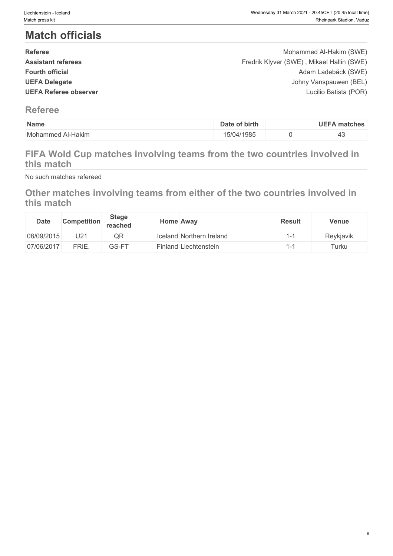# **Match officials**

| <b>Referee</b>               | Mohammed Al-Hakim (SWE)                   |  |
|------------------------------|-------------------------------------------|--|
| <b>Assistant referees</b>    | Fredrik Klyver (SWE), Mikael Hallin (SWE) |  |
| <b>Fourth official</b>       | Adam Ladebäck (SWE)                       |  |
| <b>UEFA Delegate</b>         | Johny Vanspauwen (BEL)                    |  |
| <b>UEFA Referee observer</b> | Lucilio Batista (POR)                     |  |
|                              |                                           |  |

# **Referee**

| Name                                 | birth<br>-   | matche. |
|--------------------------------------|--------------|---------|
| M <sub>0</sub><br>Al-Hakim<br>ammed. | 1985<br>U 14 | ᠇ᠣ      |

# **FIFA Wold Cup matches involving teams from the two countries involved in this match**

No such matches refereed

# **Other matches involving teams from either of the two countries involved in this match**

| <b>Date</b> | <b>Competition</b> | <b>Stage</b><br>reached | <b>Home Away</b>         | <b>Result</b>            | <b>Venue</b> |
|-------------|--------------------|-------------------------|--------------------------|--------------------------|--------------|
| 08/09/2015  | U2 <sup>1</sup>    | QR                      | Iceland Northern Ireland | $\overline{\phantom{0}}$ | Reykjavik    |
| 07/06/2017  | FRIE.              | GS-FT                   | Finland Liechtenstein    | $-$                      | $T$ urku     |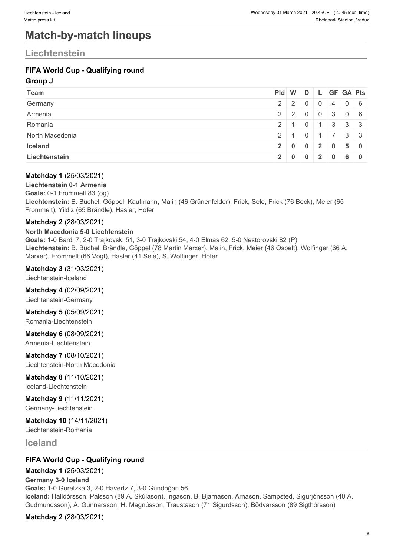# **Match-by-match lineups**

# **Liechtenstein**

### **FIFA World Cup - Qualifying round**

#### **Group J**

| <b>Team</b>     |               |  |    | Pid W D L GF GA Pts |
|-----------------|---------------|--|----|---------------------|
| Germany         | 2 2 0 0 4 0 6 |  |    |                     |
| Armenia         |               |  |    | $2$ 2 0 0 3 0 6     |
| Romania         | 2 1 0 1 3 3 3 |  |    |                     |
| North Macedonia | 2 1 0 1 7 3 3 |  |    |                     |
| Iceland         |               |  |    | 2 0 0 2 0 5 0       |
| Liechtenstein   | 2 0 0 2 0     |  | 60 |                     |

#### **Matchday 1** (25/03/2021)

**Liechtenstein 0-1 Armenia Goals:** 0-1 Frommelt 83 (og) **Liechtenstein:** B. Büchel, Göppel, Kaufmann, Malin (46 Grünenfelder), Frick, Sele, Frick (76 Beck), Meier (65 Frommelt), Yildiz (65 Brändle), Hasler, Hofer

#### **Matchday 2** (28/03/2021)

#### **North Macedonia 5-0 Liechtenstein**

**Goals:** 1-0 Bardi 7, 2-0 Trajkovski 51, 3-0 Trajkovski 54, 4-0 Elmas 62, 5-0 Nestorovski 82 (P) **Liechtenstein:** B. Büchel, Brändle, Göppel (78 Martin Marxer), Malin, Frick, Meier (46 Ospelt), Wolfinger (66 A. Marxer), Frommelt (66 Vogt), Hasler (41 Sele), S. Wolfinger, Hofer

#### **Matchday 3** (31/03/2021)

Liechtenstein-Iceland

#### **Matchday 4** (02/09/2021)

Liechtenstein-Germany

#### **Matchday 5** (05/09/2021) Romania-Liechtenstein

**Matchday 6** (08/09/2021)

Armenia-Liechtenstein

**Matchday 7** (08/10/2021) Liechtenstein-North Macedonia

### **Matchday 8** (11/10/2021)

Iceland-Liechtenstein

#### **Matchday 9** (11/11/2021) Germany-Liechtenstein

**Matchday 10** (14/11/2021) Liechtenstein-Romania

**Iceland**

### **FIFA World Cup - Qualifying round**

**Matchday 1** (25/03/2021)

#### **Germany 3-0 Iceland**

**Goals:** 1-0 Goretzka 3, 2-0 Havertz 7, 3-0 Gündoğan 56 **Iceland:** Halldórsson, Pálsson (89 A. Skúlason), Ingason, B. Bjarnason, Árnason, Sampsted, Sigurjónsson (40 A. Gudmundsson), A. Gunnarsson, H. Magnússon, Traustason (71 Sigurdsson), Bödvarsson (89 Sigthórsson)

**Matchday 2** (28/03/2021)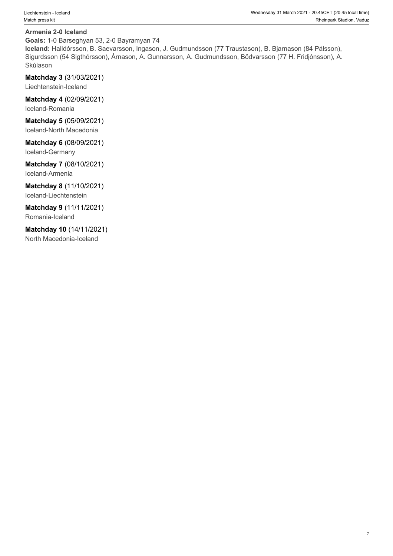#### **Armenia 2-0 Iceland**

**Goals:** 1-0 Barseghyan 53, 2-0 Bayramyan 74

**Iceland:** Halldórsson, B. Saevarsson, Ingason, J. Gudmundsson (77 Traustason), B. Bjarnason (84 Pálsson), Sigurdsson (54 Sigthórsson), Árnason, A. Gunnarsson, A. Gudmundsson, Bödvarsson (77 H. Fridjónsson), A. Skúlason **karalystického kráľované pro**bal na protokované protokované protokované protokované protokované protokov

**Matchday 3** (31/03/2021)

Liechtenstein-Iceland

**Matchday 4** (02/09/2021) Iceland-Romania

**Matchday 5** (05/09/2021) Iceland-North Macedonia

**Matchday 6** (08/09/2021) Iceland-Germany

**Matchday 7** (08/10/2021)

Iceland-Armenia

**Matchday 8** (11/10/2021) Iceland-Liechtenstein

**Matchday 9** (11/11/2021) Romania-Iceland

**Matchday 10** (14/11/2021) North Macedonia-Iceland